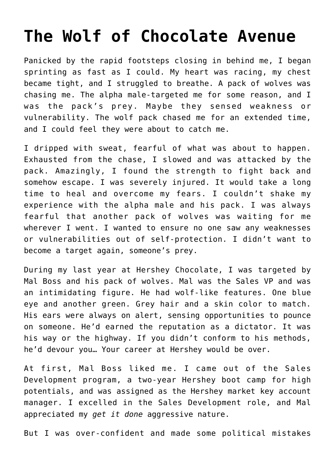## **[The Wolf of Chocolate Avenue](https://prestonpoore.com/the-wolf-of-chocolate-avenue/)**

Panicked by the rapid footsteps closing in behind me, I began sprinting as fast as I could. My heart was racing, my chest became tight, and I struggled to breathe. A pack of wolves was chasing me. The alpha male-targeted me for some reason, and I was the pack's prey. Maybe they sensed weakness or vulnerability. The wolf pack chased me for an extended time, and I could feel they were about to catch me.

I dripped with sweat, fearful of what was about to happen. Exhausted from the chase, I slowed and was attacked by the pack. Amazingly, I found the strength to fight back and somehow escape. I was severely injured. It would take a long time to heal and overcome my fears. I couldn't shake my experience with the alpha male and his pack. I was always fearful that another pack of wolves was waiting for me wherever I went. I wanted to ensure no one saw any weaknesses or vulnerabilities out of self-protection. I didn't want to become a target again, someone's prey.

During my last year at Hershey Chocolate, I was targeted by Mal Boss and his pack of wolves. Mal was the Sales VP and was an intimidating figure. He had wolf-like features. One blue eye and another green. Grey hair and a skin color to match. His ears were always on alert, sensing opportunities to pounce on someone. He'd earned the reputation as a dictator. It was his way or the highway. If you didn't conform to his methods, he'd devour you… Your career at Hershey would be over.

At first, Mal Boss liked me. I came out of the Sales Development program, a two-year Hershey boot camp for high potentials, and was assigned as the Hershey market key account manager. I excelled in the Sales Development role, and Mal appreciated my *get it done* aggressive nature.

But I was over-confident and made some political mistakes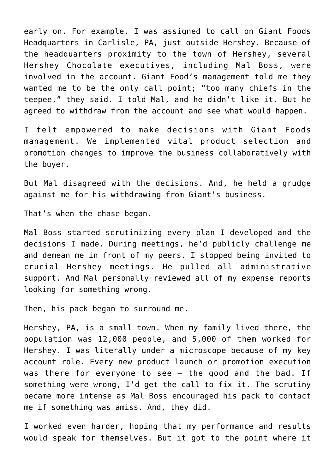early on. For example, I was assigned to call on Giant Foods Headquarters in Carlisle, PA, just outside Hershey. Because of the headquarters proximity to the town of Hershey, several Hershey Chocolate executives, including Mal Boss, were involved in the account. Giant Food's management told me they wanted me to be the only call point; "too many chiefs in the teepee," they said. I told Mal, and he didn't like it. But he agreed to withdraw from the account and see what would happen.

I felt empowered to make decisions with Giant Foods management. We implemented vital product selection and promotion changes to improve the business collaboratively with the buyer.

But Mal disagreed with the decisions. And, he held a grudge against me for his withdrawing from Giant's business.

That's when the chase began.

Mal Boss started scrutinizing every plan I developed and the decisions I made. During meetings, he'd publicly challenge me and demean me in front of my peers. I stopped being invited to crucial Hershey meetings. He pulled all administrative support. And Mal personally reviewed all of my expense reports looking for something wrong.

Then, his pack began to surround me.

Hershey, PA, is a small town. When my family lived there, the population was 12,000 people, and 5,000 of them worked for Hershey. I was literally under a microscope because of my key account role. Every new product launch or promotion execution was there for everyone to see – the good and the bad. If something were wrong, I'd get the call to fix it. The scrutiny became more intense as Mal Boss encouraged his pack to contact me if something was amiss. And, they did.

I worked even harder, hoping that my performance and results would speak for themselves. But it got to the point where it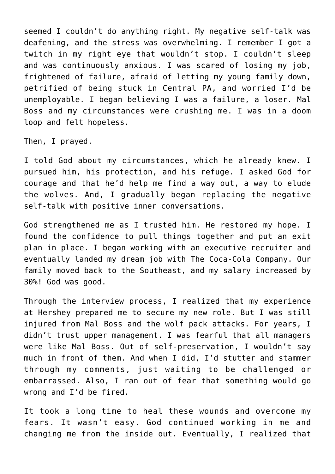seemed I couldn't do anything right. My negative self-talk was deafening, and the stress was overwhelming. I remember I got a twitch in my right eye that wouldn't stop. I couldn't sleep and was continuously anxious. I was scared of losing my job, frightened of failure, afraid of letting my young family down, petrified of being stuck in Central PA, and worried I'd be unemployable. I began believing I was a failure, a loser. Mal Boss and my circumstances were crushing me. I was in a doom loop and felt hopeless.

Then, I prayed.

I told God about my circumstances, which he already knew. I pursued him, his protection, and his refuge. I asked God for courage and that he'd help me find a way out, a way to elude the wolves. And, I gradually began replacing the negative self-talk with positive inner conversations.

God strengthened me as I trusted him. He restored my hope. I found the confidence to pull things together and put an exit plan in place. I began working with an executive recruiter and eventually landed my dream job with The Coca-Cola Company. Our family moved back to the Southeast, and my salary increased by 30%! God was good.

Through the interview process, I realized that my experience at Hershey prepared me to secure my new role. But I was still injured from Mal Boss and the wolf pack attacks. For years, I didn't trust upper management. I was fearful that all managers were like Mal Boss. Out of self-preservation, I wouldn't say much in front of them. And when I did, I'd stutter and stammer through my comments, just waiting to be challenged or embarrassed. Also, I ran out of fear that something would go wrong and I'd be fired.

It took a long time to heal these wounds and overcome my fears. It wasn't easy. God continued working in me and changing me from the inside out. Eventually, I realized that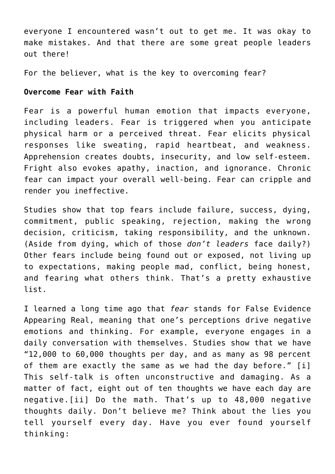everyone I encountered wasn't out to get me. It was okay to make mistakes. And that there are some great people leaders out there!

For the believer, what is the key to overcoming fear?

## **Overcome Fear with Faith**

Fear is a powerful human emotion that impacts everyone, including leaders. Fear is triggered when you anticipate physical harm or a perceived threat. Fear elicits physical responses like sweating, rapid heartbeat, and weakness. Apprehension creates doubts, insecurity, and low self-esteem. Fright also evokes apathy, inaction, and ignorance. Chronic fear can impact your overall well-being. Fear can cripple and render you ineffective.

Studies show that top fears include failure, success, dying, commitment, public speaking, rejection, making the wrong decision, criticism, taking responsibility, and the unknown. (Aside from dying, which of those *don't leaders* face daily?) Other fears include being found out or exposed, not living up to expectations, making people mad, conflict, being honest, and fearing what others think. That's a pretty exhaustive list.

I learned a long time ago that *fear* stands for False Evidence Appearing Real, meaning that one's perceptions drive negative emotions and thinking. For example, everyone engages in a daily conversation with themselves. Studies show that we have "12,000 to 60,000 thoughts per day, and as many as 98 percent of them are exactly the same as we had the day before." [i] This self-talk is often unconstructive and damaging. As a matter of fact, eight out of ten thoughts we have each day are negative.[ii] Do the math. That's up to 48,000 negative thoughts daily. Don't believe me? Think about the lies you tell yourself every day. Have you ever found yourself thinking: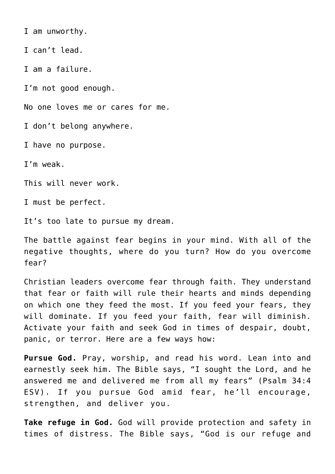I am unworthy.

I can't lead.

I am a failure.

I'm not good enough.

No one loves me or cares for me.

I don't belong anywhere.

I have no purpose.

I'm weak.

This will never work.

I must be perfect.

It's too late to pursue my dream.

The battle against fear begins in your mind. With all of the negative thoughts, where do you turn? How do you overcome fear?

Christian leaders overcome fear through faith. They understand that fear or faith will rule their hearts and minds depending on which one they feed the most. If you feed your fears, they will dominate. If you feed your faith, fear will diminish. Activate your faith and seek God in times of despair, doubt, panic, or terror. Here are a few ways how:

**Pursue God.** Pray, worship, and read his word. Lean into and earnestly seek him. The Bible says, "I sought the Lord, and he answered me and delivered me from all my fears" (Psalm 34:4 ESV). If you pursue God amid fear, he'll encourage, strengthen, and deliver you.

**Take refuge in God.** God will provide protection and safety in times of distress. The Bible says, "God is our refuge and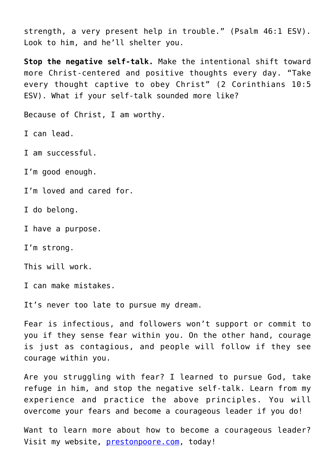strength, a very present help in trouble." (Psalm 46:1 ESV). Look to him, and he'll shelter you.

**Stop the negative self-talk.** Make the intentional shift toward more Christ-centered and positive thoughts every day. "Take every thought captive to obey Christ" (2 Corinthians 10:5 ESV). What if your self-talk sounded more like?

Because of Christ, I am worthy.

I can lead.

I am successful.

I'm good enough.

I'm loved and cared for.

I do belong.

I have a purpose.

I'm strong.

This will work.

I can make mistakes.

It's never too late to pursue my dream.

Fear is infectious, and followers won't support or commit to you if they sense fear within you. On the other hand, courage is just as contagious, and people will follow if they see courage within you.

Are you struggling with fear? I learned to pursue God, take refuge in him, and stop the negative self-talk. Learn from my experience and practice the above principles. You will overcome your fears and become a courageous leader if you do!

Want to learn more about how to become a courageous leader? Visit my website, [prestonpoore.com,](http://www.prestonpoore.com/) today!